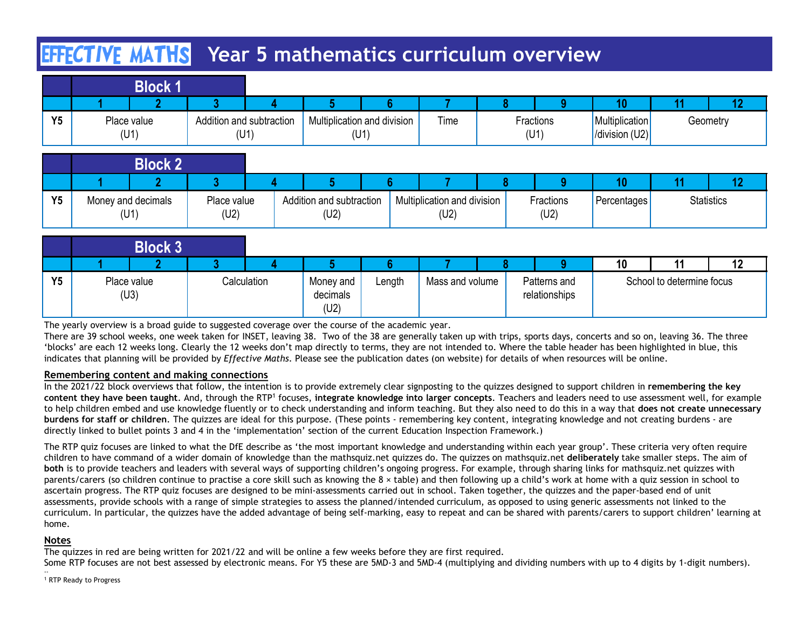# **EFFCTIVE MATHS** Year 5 mathematics curriculum overview

|           | <b>EFFCTIVE MATHS</b> Year 5 mathematics curriculum overview |   |                                  |                                     |      |                        |                                        |    |                |
|-----------|--------------------------------------------------------------|---|----------------------------------|-------------------------------------|------|------------------------|----------------------------------------|----|----------------|
|           | <b>Block 1</b>                                               |   |                                  |                                     |      |                        |                                        |    |                |
| <b>Y5</b> | າ<br>Place value<br>(U1)                                     | 2 | Addition and subtraction<br>(U1) | Multiplication and division<br>(U1) | Time | a<br>Fractions<br>(U1) | 10<br>Multiplication<br>/division (U2) | 11 | 12<br>Geometry |
|           | <b>Block 2</b>                                               |   |                                  |                                     |      |                        |                                        |    |                |

|    | <b>EFFCTIVE MATHS</b> Year 5 mathematics curriculum overview |                     |                                  |      |                                     |   |                   |                   |                                          |    |                   |  |
|----|--------------------------------------------------------------|---------------------|----------------------------------|------|-------------------------------------|---|-------------------|-------------------|------------------------------------------|----|-------------------|--|
|    | <b>Block 1</b>                                               |                     |                                  |      |                                     |   |                   |                   |                                          |    |                   |  |
|    |                                                              |                     |                                  |      |                                     | 8 |                   | o                 | 10                                       | 11 | 12                |  |
| Y5 | Place value<br>Addition and subtraction<br>(U1)<br>(U1)      |                     | Multiplication and division      | (U1) | Time                                |   | Fractions<br>(U1) |                   | Multiplication<br>$ $ /division (U2) $ $ |    | Geometry          |  |
|    | <b>Block 2</b>                                               |                     |                                  |      |                                     |   |                   |                   |                                          |    |                   |  |
|    |                                                              | 3                   |                                  |      |                                     |   |                   | Q                 | 10                                       | 11 | 12                |  |
| Y5 | Money and decimals<br>(U1)                                   | Place value<br>(U2) | Addition and subtraction<br>(U2) |      | Multiplication and division<br>(U2) |   |                   | Fractions<br>(U2) | <b>Percentages</b>                       |    | <b>Statistics</b> |  |
|    |                                                              |                     |                                  |      |                                     |   |                   |                   |                                          |    |                   |  |
|    | <b>Block 3</b>                                               |                     |                                  |      |                                     |   |                   |                   |                                          |    |                   |  |

|           | EFFECTIVE MATHS                                                                                  |                                       |                                       |        | Year 5 mathematics curriculum overview                                                                                   |                               |   |                                                                                                                                                                                                                                                                                                                                                                                                                                                                                                                                                                                                                                                                                                                 |                                 |                                      |
|-----------|--------------------------------------------------------------------------------------------------|---------------------------------------|---------------------------------------|--------|--------------------------------------------------------------------------------------------------------------------------|-------------------------------|---|-----------------------------------------------------------------------------------------------------------------------------------------------------------------------------------------------------------------------------------------------------------------------------------------------------------------------------------------------------------------------------------------------------------------------------------------------------------------------------------------------------------------------------------------------------------------------------------------------------------------------------------------------------------------------------------------------------------------|---------------------------------|--------------------------------------|
|           | <b>Block 1</b>                                                                                   |                                       |                                       |        |                                                                                                                          |                               |   |                                                                                                                                                                                                                                                                                                                                                                                                                                                                                                                                                                                                                                                                                                                 |                                 |                                      |
| Y5        | Place value<br>(U1)                                                                              | Addition and subtraction<br>(U1)      | Multiplication and division           | (U1)   | Time                                                                                                                     | Fractions<br>(U1)             |   | 10<br>Multiplication<br>/division (U2)                                                                                                                                                                                                                                                                                                                                                                                                                                                                                                                                                                                                                                                                          | 11                              | 12<br>Geometry                       |
|           | <b>Block 2</b>                                                                                   |                                       |                                       |        |                                                                                                                          |                               |   |                                                                                                                                                                                                                                                                                                                                                                                                                                                                                                                                                                                                                                                                                                                 |                                 |                                      |
| <b>Y5</b> | Money and decimals<br>(U1)                                                                       | $\overline{3}$<br>Place value<br>(U2) | 5<br>Addition and subtraction<br>(U2) |        | Multiplication and division<br>(U2)                                                                                      | Fractions<br>(U2)             | 9 | 10<br>Percentages                                                                                                                                                                                                                                                                                                                                                                                                                                                                                                                                                                                                                                                                                               | 11                              | 12 <sup>2</sup><br><b>Statistics</b> |
|           | <b>Block 3</b>                                                                                   |                                       |                                       |        |                                                                                                                          |                               |   |                                                                                                                                                                                                                                                                                                                                                                                                                                                                                                                                                                                                                                                                                                                 |                                 |                                      |
| Y5        | Place value<br>(U3)                                                                              | $\mathbf{R}$<br>Calculation           | Money and<br>decimals<br>(U2)         | Length | Mass and volume                                                                                                          | Patterns and<br>relationships | a | 10                                                                                                                                                                                                                                                                                                                                                                                                                                                                                                                                                                                                                                                                                                              | 11<br>School to determine focus | 12                                   |
|           | The yearly overview is a broad guide to suggested coverage over the course of the academic year. |                                       |                                       |        |                                                                                                                          |                               |   | There are 39 school weeks, one week taken for INSET, leaving 38. Two of the 38 are generally taken up with trips, sports days, concerts and so on, leaving 36. The three<br>'blocks' are each 12 weeks long. Clearly the 12 weeks don't map directly to terms, they are not intended to. Where the table header has been highlighted in blue, this<br>indicates that planning will be provided by Effective Maths. Please see the publication dates (on website) for details of when resources will be online.                                                                                                                                                                                                  |                                 |                                      |
|           | Remembering content and making connections                                                       |                                       |                                       |        | directly linked to bullet points 3 and 4 in the 'implementation' section of the current Education Inspection Framework.) |                               |   | In the 2021/22 block overviews that follow, the intention is to provide extremely clear signposting to the quizzes designed to support children in remembering the key<br>content they have been taught. And, through the RTP <sup>1</sup> focuses, integrate knowledge into larger concepts. Teachers and leaders need to use assessment well, for example<br>to help children embed and use knowledge fluently or to check understanding and inform teaching. But they also need to do this in a way that does not create unnecessary<br>burdens for staff or children. The quizzes are ideal for this purpose. (These points - remembering key content, integrating knowledge and not creating burdens - are |                                 |                                      |
|           |                                                                                                  |                                       |                                       |        |                                                                                                                          |                               |   | The RTP quiz focuses are linked to what the DfE describe as 'the most important knowledge and understanding within each year group'. These criteria very often require<br>children to have command of a wider domain of knowledge than the mathsquiz.net quizzes do. The quizzes on mathsquiz.net deliberately take smaller steps. The aim of<br>both is to provide teachers and leaders with several ways of supporting children's ongoing progress. For example, through sharing links for mathsquiz.net quizzes with<br>parents/carers (so children continue to practise a core skill such as knowing the 8 x table) and then following up a child's work at home with a quiz session in school to           |                                 |                                      |

### Remembering content and making connections

The RTP quiz focuses are linked to what the DfE describe as 'the most important knowledge and understanding within each year group'. These criteria very often require children to have command of a wider domain of knowledge than the mathsquiz.net quizzes do. The quizzes on mathsquiz.net deliberately take smaller steps. The aim of both is to provide teachers and leaders with several ways of supporting children's ongoing progress. For example, through sharing links for mathsquiz.net quizzes with parents/carers (so children continue to practise a core skill such as knowing the 8 × table) and then following up a child's work at home with a quiz session in school to ascertain progress. The RTP quiz focuses are designed to be mini-assessments carried out in school. Taken together, the quizzes and the paper-based end of unit **Block 3**<br>
YS Place value<br>
(U3) designed coverage over the course of she assessments and value and value and value and value and school to determine focus<br>
The yearly overview it a broad guide to suggested coverage over th curriculum. In particular, the quizzes have the added advantage of being self-marking, easy to repeat and can be shared with parents/carers to support children' learning at home.

### Notes

The quizzes in red are being written for 2021/22 and will be online a few weeks before they are first required.

Some RTP focuses are not best assessed by electronic means. For Y5 these are 5MD-3 and 5MD-4 (multiplying and dividing numbers with up to 4 digits by 1-digit numbers).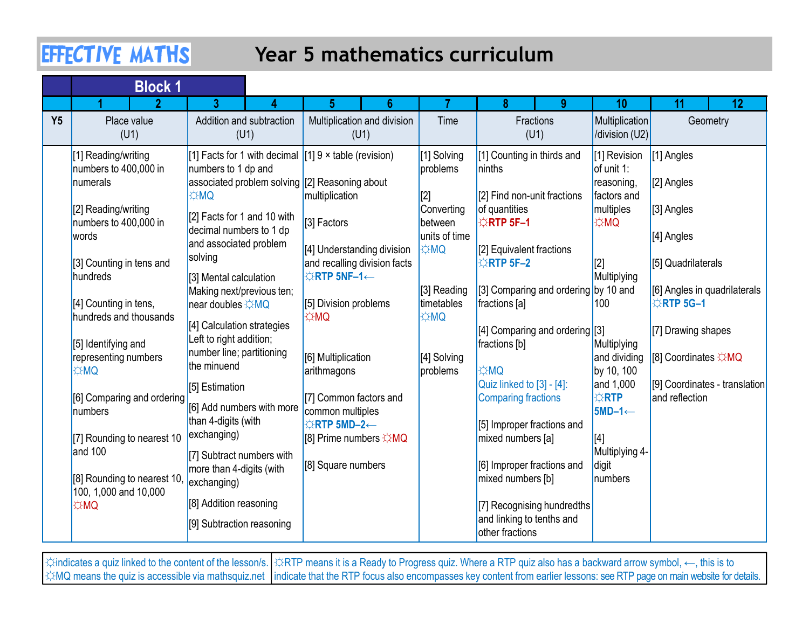## Year 5 mathematics curriculum

| <b>Block 1</b>                                                                                                                                                                                               |                                                                                                                                                                                                                               |                                                                                                                                                                                               |                                                                                                                                   |                                                                                                                                                                                                                                     |                                                                             |                                                                                                                                                                                                          |
|--------------------------------------------------------------------------------------------------------------------------------------------------------------------------------------------------------------|-------------------------------------------------------------------------------------------------------------------------------------------------------------------------------------------------------------------------------|-----------------------------------------------------------------------------------------------------------------------------------------------------------------------------------------------|-----------------------------------------------------------------------------------------------------------------------------------|-------------------------------------------------------------------------------------------------------------------------------------------------------------------------------------------------------------------------------------|-----------------------------------------------------------------------------|----------------------------------------------------------------------------------------------------------------------------------------------------------------------------------------------------------|
| Place value<br>(U1)                                                                                                                                                                                          | (U1)                                                                                                                                                                                                                          | Multiplication and division<br>(U1)                                                                                                                                                           | Time                                                                                                                              | Fractions<br>(U1)                                                                                                                                                                                                                   | Multiplication<br>/division (U2)                                            | 11<br>12<br>Geometry                                                                                                                                                                                     |
| [1] Reading/writing<br>numbers to 400,000 in<br>numerals<br>[2] Reading/writing<br>numbers to 400,000 in<br>words<br>[3] Counting in tens and<br>hundreds<br>[4] Counting in tens,<br>hundreds and thousands | numbers to 1 dp and<br><b>OMC</b><br>decimal numbers to 1 dp<br>and associated problem<br>[3] Mental calculation<br>Making next/previous ten;<br>near doubles ☆MQ<br>[4] Calculation strategies                               | $[1]$ 9 $\times$ table (revision)<br>multiplication<br>[3] Factors<br>[4] Understanding division<br>and recalling division facts<br><b>☆RTP 5NF-1←</b><br>[5] Division problems<br><b>¢MQ</b> | [1] Solving<br>problems<br>[2]<br>Converting<br>between<br>units of time<br><b>OMC</b><br>[3] Reading<br>timetables<br><b>DMC</b> | [1] Counting in thirds and<br>ninths<br>$[2]$ Find non-unit fractions<br><b>ERTP 5F-1</b><br>[2] Equivalent fractions<br>$\triangle$ RTP 5F-2                                                                                       | [1] Revision<br>factors and<br><b>OMC</b><br>[2]                            | [1] Angles<br>$[2]$ Angles<br>$[3]$ Angles<br>[4] Angles<br>[5] Quadrilaterals<br>[6] Angles in quadrilaterals<br><b>☆RTP 5G-1</b><br>[7] Drawing shapes                                                 |
| [5] Identifying and<br>representing numbers<br><b>OMC</b><br>[6] Comparing and ordering<br>numbers<br>[7] Rounding to nearest 10<br>and 100<br>[8] Rounding to nearest 10,<br>100, 1,000 and 10,000          | Left to right addition;<br>number line; partitioning<br>the minuend<br>[5] Estimation<br>than 4-digits (with<br>exchanging)<br>[7] Subtract numbers with<br>more than 4-digits (with<br>exchanging)<br>[8] Addition reasoning | [6] Multiplication<br>arithmagons<br>[7] Common factors and<br>common multiples<br><b>☆RTP 5MD-2←</b><br>[8] Prime numbers ☆MQ<br>[8] Square numbers                                          | [4] Solving<br>problems                                                                                                           | fractions [b]<br><b>EXMQ</b><br>$\vert$ Quiz linked to $\vert$ 3] - [4]:<br>Comparing fractions<br>[5] Improper fractions and<br>mixed numbers [a]<br>[6] Improper fractions and<br>mixed numbers [b]<br>[7] Recognising hundredths | Multiplying<br><b>XRTP</b><br>$5MD-1 \leftarrow$<br>[4]<br>digit<br>numbers | [8] Coordinates ☆MQ<br>[9] Coordinates - translation<br>and reflection                                                                                                                                   |
|                                                                                                                                                                                                              | $\boldsymbol{\mathcal{D}}$                                                                                                                                                                                                    | <b>EFFECTIVE MATHS</b><br>3.<br>Addition and subtraction<br>[2] Facts for 1 and 10 with<br>solving                                                                                            | 6<br>5<br>[1] Facts for 1 with decimal<br>associated problem solving [2] Reasoning about<br>[6] Add numbers with more             |                                                                                                                                                                                                                                     | Year 5 mathematics curriculum<br>9<br>of quantities<br>fractions [a]        | 10<br>of unit 1:<br>reasoning,<br>multiples<br>Multiplying<br>[3] Comparing and ordering by 10 and<br>100<br>[4] Comparing and ordering [3]<br>and dividing<br>by 10, 100<br>and 1,000<br>Multiplying 4- |

☼indicates a quiz linked to the content of the lesson/s. ☼RTP means it is a Ready to Progress quiz. Where a RTP quiz also has a backward arrow symbol, ←, this is to ☆MQ means the quiz is accessible via mathsquiz.net |indicate that the RTP focus also encompasses key content from earlier lessons: see RTP page on main website for details.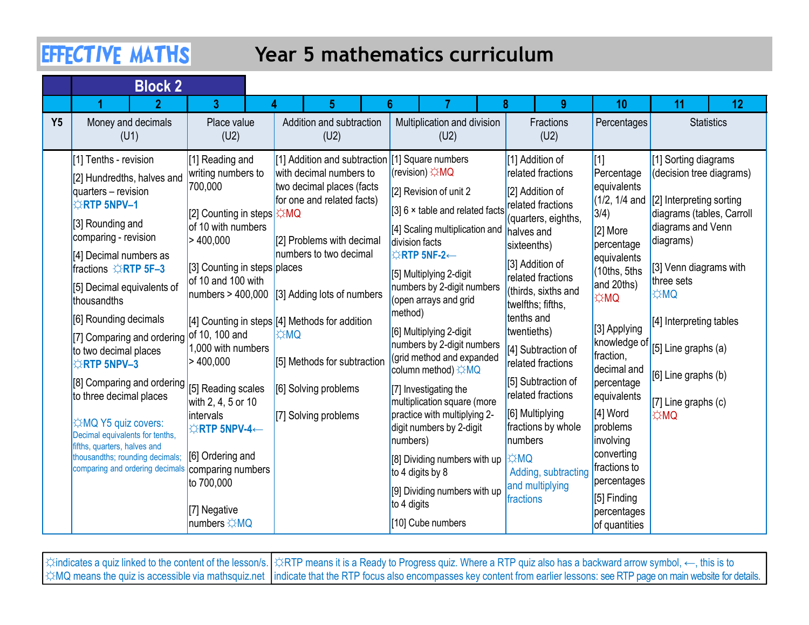## Year 5 mathematics curriculum

|           | <b>EFFECTIVE MATHS</b>                                                                           |                                                                           | <b>Year 5 mathematics curriculum</b>                                                                                                  |                                                                                                     |  |                                                                                  |                                                                         |                                                    |                           |
|-----------|--------------------------------------------------------------------------------------------------|---------------------------------------------------------------------------|---------------------------------------------------------------------------------------------------------------------------------------|-----------------------------------------------------------------------------------------------------|--|----------------------------------------------------------------------------------|-------------------------------------------------------------------------|----------------------------------------------------|---------------------------|
|           | <b>Block 2</b><br>$\mathbf{\Omega}$                                                              | 3                                                                         |                                                                                                                                       |                                                                                                     |  | <b>g</b>                                                                         | 10                                                                      | 11                                                 | 12                        |
| <b>Y5</b> | Money and decimals<br>(U1)                                                                       | Place value<br>(U2)                                                       | Addition and subtraction<br>(U2)                                                                                                      | Multiplication and division<br>(U2)                                                                 |  | Fractions<br>(U2)                                                                | Percentages                                                             |                                                    | <b>Statistics</b>         |
|           | [1] Tenths - revision<br>[2] Hundredths, halves and<br>quarters - revision<br><b>ORTP 5NPV-1</b> | [1] Reading and<br>writing numbers to<br>700,000                          | [1] Addition and subtraction [1] Square numbers<br>with decimal numbers to<br>two decimal places (facts<br>for one and related facts) | (revision) ☆MQ<br>[2] Revision of unit 2<br>$[3]$ 6 $\times$ table and related facts                |  | [1] Addition of<br>related fractions<br>[2] Addition of<br>related fractions     | Percentage<br>equivalents<br>$(1/2, 1/4$ and $[2]$ Interpreting sorting | [1] Sorting diagrams                               | (decision tree diagrams)  |
|           | [3] Rounding and<br>comparing - revision<br>[4] Decimal numbers as                               | [2] Counting in steps $\frac{1}{2}$ MQ<br>of 10 with numbers<br>> 400,000 | [2] Problems with decimal<br>numbers to two decimal                                                                                   | [4] Scaling multiplication and<br>division facts<br><b>☆RTP 5NF-2←</b>                              |  | quarters, eighths,<br>halves and<br>sixteenths)                                  | 3/4)<br>$[2]$ More<br>percentage<br>equivalents                         | diagrams and Venn<br>diagrams)                     | diagrams (tables, Carroll |
|           | fractions ☆RTP 5F-3<br>[5] Decimal equivalents of<br>thousandths                                 | [3] Counting in steps places<br>of 10 and 100 with                        | numbers > 400,000 [3] Adding lots of numbers                                                                                          | [5] Multiplying 2-digit<br>numbers by 2-digit numbers<br>(open arrays and grid                      |  | [3] Addition of<br>related fractions<br>(thirds, sixths and<br>twelfths; fifths, | $(10$ ths, 5ths<br>and 20ths)<br>¦☆MQ                                   | [3] Venn diagrams with<br>three sets<br><b>¢MQ</b> |                           |
|           | [6] Rounding decimals<br>[7] Comparing and ordering of 10, 100 and<br>to two decimal places      | 1,000 with numbers                                                        | [4] Counting in steps [[4] Methods for addition<br><b>¢MQ</b>                                                                         | method)<br>[6] Multiplying 2-digit<br>numbers by 2-digit numbers                                    |  | tenths and<br>twentieths)<br>[4] Subtraction of                                  | [3] Applying<br>knowledge of                                            | [4] Interpreting tables<br>[5] Line graphs $(a)$   |                           |
|           | <b>ARTP 5NPV-3</b><br>[8] Comparing and ordering [5] Reading scales<br>to three decimal places   | > 400,000                                                                 | [5] Methods for subtraction<br>[6] Solving problems                                                                                   | (grid method and expanded<br>column method) ☆MQ<br>$[7]$ Investigating the                          |  | related fractions<br>[5] Subtraction of<br>related fractions                     | fraction,<br>decimal and<br>percentage<br>equivalents                   | [6] Line graphs (b)                                |                           |
|           | ☆MQ Y5 quiz covers:<br>Decimal equivalents for tenths,<br>fifths, quarters, halves and           | with 2, 4, 5 or 10<br>lintervals<br><b>☆RTP 5NPV-4←</b>                   | [7] Solving problems                                                                                                                  | multiplication square (more<br>practice with multiplying 2-<br>digit numbers by 2-digit<br>numbers) |  | [6] Multiplying<br>fractions by whole<br>numbers                                 | [4] Word<br>problems<br>involving                                       | $[7]$ Line graphs (c)<br><b>☆MQ</b>                |                           |
|           | thousandths; rounding decimals;<br>comparing and ordering decimals                               | [6] Ordering and<br>comparing numbers<br>to 700,000                       |                                                                                                                                       | [8] Dividing numbers with up  <br>to 4 digits by 8                                                  |  | ĆMQ<br>Adding, subtracting<br>and multiplying                                    | converting<br>fractions to<br>percentages                               |                                                    |                           |
|           |                                                                                                  | [7] Negative<br>numbers ☆MQ                                               |                                                                                                                                       | [9] Dividing numbers with up<br>to 4 digits<br>[10] Cube numbers                                    |  | fractions                                                                        | [5] Finding<br>percentages<br>of quantities                             |                                                    |                           |

☼indicates a quiz linked to the content of the lesson/s. ☼RTP means it is a Ready to Progress quiz. Where a RTP quiz also has a backward arrow symbol, ←, this is to ☆MQ means the quiz is accessible via mathsquiz.net |indicate that the RTP focus also encompasses key content from earlier lessons: see RTP page on main website for details.